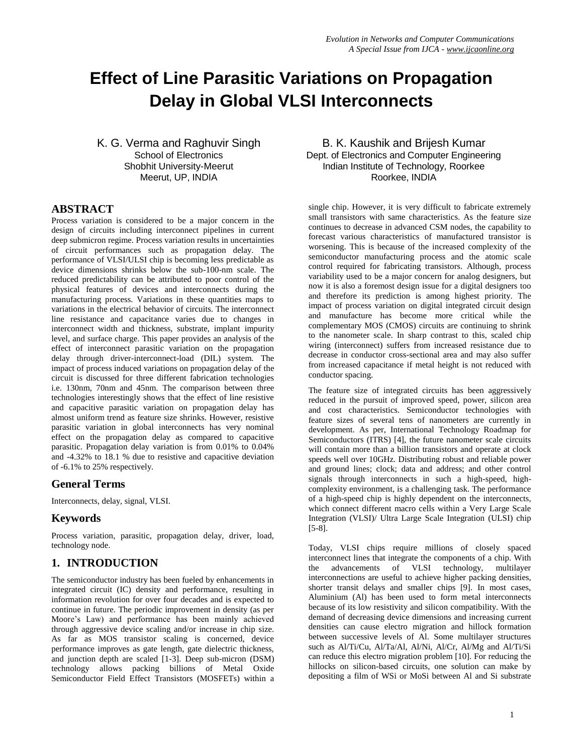# **Effect of Line Parasitic Variations on Propagation Delay in Global VLSI Interconnects**

K. G. Verma and Raghuvir Singh School of Electronics Shobhit University-Meerut Meerut, UP, INDIA

## **ABSTRACT**

Process variation is considered to be a major concern in the design of circuits including interconnect pipelines in current deep submicron regime. Process variation results in uncertainties of circuit performances such as propagation delay. The performance of VLSI/ULSI chip is becoming less predictable as device dimensions shrinks below the sub-100-nm scale. The reduced predictability can be attributed to poor control of the physical features of devices and interconnects during the manufacturing process. Variations in these quantities maps to variations in the electrical behavior of circuits. The interconnect line resistance and capacitance varies due to changes in interconnect width and thickness, substrate, implant impurity level, and surface charge. This paper provides an analysis of the effect of interconnect parasitic variation on the propagation delay through driver-interconnect-load (DIL) system. The impact of process induced variations on propagation delay of the circuit is discussed for three different fabrication technologies i.e. 130nm, 70nm and 45nm. The comparison between three technologies interestingly shows that the effect of line resistive and capacitive parasitic variation on propagation delay has almost uniform trend as feature size shrinks. However, resistive parasitic variation in global interconnects has very nominal effect on the propagation delay as compared to capacitive parasitic. Propagation delay variation is from 0.01% to 0.04% and -4.32% to 18.1 % due to resistive and capacitive deviation of -6.1% to 25% respectively.

## **General Terms**

Interconnects, delay, signal, VLSI.

## **Keywords**

Process variation, parasitic, propagation delay, driver, load, technology node.

# **1. INTRODUCTION**

The semiconductor industry has been fueled by enhancements in integrated circuit (IC) density and performance, resulting in information revolution for over four decades and is expected to continue in future. The periodic improvement in density (as per Moore"s Law) and performance has been mainly achieved through aggressive device scaling and/or increase in chip size. As far as MOS transistor scaling is concerned, device performance improves as gate length, gate dielectric thickness, and junction depth are scaled [1-3]. Deep sub-micron (DSM) technology allows packing billions of Metal Oxide Semiconductor Field Effect Transistors (MOSFETs) within a

B. K. Kaushik and Brijesh Kumar Dept. of Electronics and Computer Engineering Indian Institute of Technology, Roorkee Roorkee, INDIA

single chip. However, it is very difficult to fabricate extremely small transistors with same characteristics. As the feature size continues to decrease in advanced CSM nodes, the capability to forecast various characteristics of manufactured transistor is worsening. This is because of the increased complexity of the semiconductor manufacturing process and the atomic scale control required for fabricating transistors. Although, process variability used to be a major concern for analog designers, but now it is also a foremost design issue for a digital designers too and therefore its prediction is among highest priority. The impact of process variation on digital integrated circuit design and manufacture has become more critical while the complementary MOS (CMOS) circuits are continuing to shrink to the nanometer scale. In sharp contrast to this, scaled chip wiring (interconnect) suffers from increased resistance due to decrease in conductor cross-sectional area and may also suffer from increased capacitance if metal height is not reduced with conductor spacing.

The feature size of integrated circuits has been aggressively reduced in the pursuit of improved speed, power, silicon area and cost characteristics. Semiconductor technologies with feature sizes of several tens of nanometers are currently in development. As per, International Technology Roadmap for Semiconductors (ITRS) [4], the future nanometer scale circuits will contain more than a billion transistors and operate at clock speeds well over 10GHz. Distributing robust and reliable power and ground lines; clock; data and address; and other control signals through interconnects in such a high-speed, highcomplexity environment, is a challenging task. The performance of a high-speed chip is highly dependent on the interconnects, which connect different macro cells within a Very Large Scale Integration (VLSI)/ Ultra Large Scale Integration (ULSI) chip [5-8].

Today, VLSI chips require millions of closely spaced interconnect lines that integrate the components of a chip. With the advancements of VLSI technology, multilayer interconnections are useful to achieve higher packing densities, shorter transit delays and smaller chips [9]. In most cases, Aluminium (Al) has been used to form metal interconnects because of its low resistivity and silicon compatibility. With the demand of decreasing device dimensions and increasing current densities can cause electro migration and hillock formation between successive levels of Al. Some multilayer structures such as Al/Ti/Cu, Al/Ta/Al, Al/Ni, Al/Cr, Al/Mg and Al/Ti/Si can reduce this electro migration problem [10]. For reducing the hillocks on silicon-based circuits, one solution can make by depositing a film of WSi or MoSi between Al and Si substrate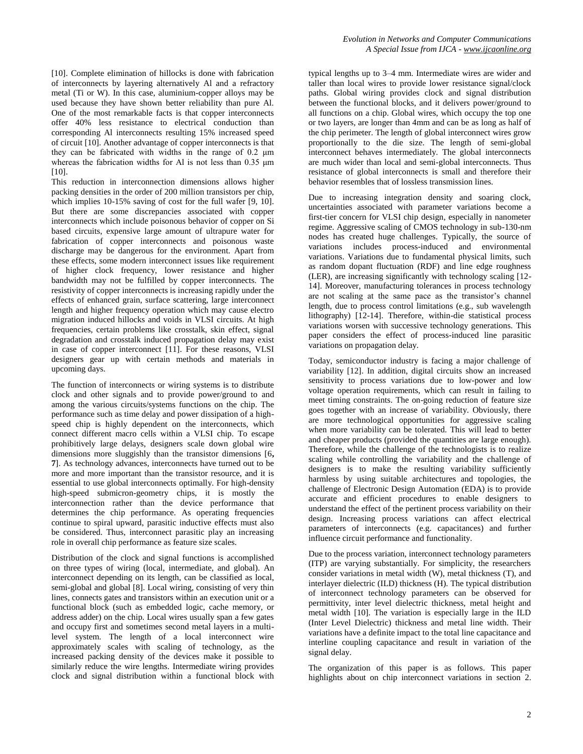[10]. Complete elimination of hillocks is done with fabrication of interconnects by layering alternatively Al and a refractory metal (Ti or W). In this case, aluminium-copper alloys may be used because they have shown better reliability than pure Al. One of the most remarkable facts is that copper interconnects offer 40% less resistance to electrical conduction than corresponding Al interconnects resulting 15% increased speed of circuit [10]. Another advantage of copper interconnects is that they can be fabricated with widths in the range of 0.2 μm whereas the fabrication widths for Al is not less than 0.35 μm [10].

This reduction in interconnection dimensions allows higher packing densities in the order of 200 million transistors per chip, which implies 10-15% saving of cost for the full wafer [9, 10]. But there are some discrepancies associated with copper interconnects which include poisonous behavior of copper on Si based circuits, expensive large amount of ultrapure water for fabrication of copper interconnects and poisonous waste discharge may be dangerous for the environment. Apart from these effects, some modern interconnect issues like requirement of higher clock frequency, lower resistance and higher bandwidth may not be fulfilled by copper interconnects. The resistivity of copper interconnects is increasing rapidly under the effects of enhanced grain, surface scattering, large interconnect length and higher frequency operation which may cause electro migration induced hillocks and voids in VLSI circuits. At high frequencies, certain problems like crosstalk, skin effect, signal degradation and crosstalk induced propagation delay may exist in case of copper interconnect [11]. For these reasons, VLSI designers gear up with certain methods and materials in upcoming days.

The function of interconnects or wiring systems is to distribute clock and other signals and to provide power/ground to and among the various circuits/systems functions on the chip. The performance such as time delay and power dissipation of a highspeed chip is highly dependent on the interconnects, which connect different macro cells within a VLSI chip. To escape prohibitively large delays, designers scale down global wire dimensions more sluggishly than the transistor dimensions [6**, 7**]. As technology advances, interconnects have turned out to be more and more important than the transistor resource, and it is essential to use global interconnects optimally. For high-density high-speed submicron-geometry chips, it is mostly the interconnection rather than the device performance that determines the chip performance. As operating frequencies continue to spiral upward, parasitic inductive effects must also be considered. Thus, interconnect parasitic play an increasing role in overall chip performance as feature size scales.

Distribution of the clock and signal functions is accomplished on three types of wiring (local, intermediate, and global). An interconnect depending on its length, can be classified as local, semi-global and global [8]. Local wiring, consisting of very thin lines, connects gates and transistors within an execution unit or a functional block (such as embedded logic, cache memory, or address adder) on the chip. Local wires usually span a few gates and occupy first and sometimes second metal layers in a multilevel system. The length of a local interconnect wire approximately scales with scaling of technology, as the increased packing density of the devices make it possible to similarly reduce the wire lengths. Intermediate wiring provides clock and signal distribution within a functional block with

typical lengths up to 3–4 mm. Intermediate wires are wider and taller than local wires to provide lower resistance signal/clock paths. Global wiring provides clock and signal distribution between the functional blocks, and it delivers power/ground to all functions on a chip. Global wires, which occupy the top one or two layers, are longer than 4mm and can be as long as half of the chip perimeter. The length of global interconnect wires grow proportionally to the die size. The length of semi-global interconnect behaves intermediately. The global interconnects are much wider than local and semi-global interconnects. Thus resistance of global interconnects is small and therefore their behavior resembles that of lossless transmission lines.

Due to increasing integration density and soaring clock, uncertainties associated with parameter variations become a first-tier concern for VLSI chip design, especially in nanometer regime. Aggressive scaling of CMOS technology in sub-130-nm nodes has created huge challenges. Typically, the source of variations includes process-induced and environmental variations. Variations due to fundamental physical limits, such as random dopant fluctuation (RDF) and line edge roughness (LER), are increasing significantly with technology scaling [12- 14]. Moreover, manufacturing tolerances in process technology are not scaling at the same pace as the transistor"s channel length, due to process control limitations (e.g., sub wavelength lithography) [12-14]. Therefore, within-die statistical process variations worsen with successive technology generations. This paper considers the effect of process-induced line parasitic variations on propagation delay.

Today, semiconductor industry is facing a major challenge of variability [12]. In addition, digital circuits show an increased sensitivity to process variations due to low-power and low voltage operation requirements, which can result in failing to meet timing constraints. The on-going reduction of feature size goes together with an increase of variability. Obviously, there are more technological opportunities for aggressive scaling when more variability can be tolerated. This will lead to better and cheaper products (provided the quantities are large enough). Therefore, while the challenge of the technologists is to realize scaling while controlling the variability and the challenge of designers is to make the resulting variability sufficiently harmless by using suitable architectures and topologies, the challenge of Electronic Design Automation (EDA) is to provide accurate and efficient procedures to enable designers to understand the effect of the pertinent process variability on their design. Increasing process variations can affect electrical parameters of interconnects (e.g. capacitances) and further influence circuit performance and functionality.

Due to the process variation, interconnect technology parameters (ITP) are varying substantially. For simplicity, the researchers consider variations in metal width (W), metal thickness (T), and interlayer dielectric (ILD) thickness (H). The typical distribution of interconnect technology parameters can be observed for permittivity, inter level dielectric thickness, metal height and metal width [10]. The variation is especially large in the ILD (Inter Level Dielectric) thickness and metal line width. Their variations have a definite impact to the total line capacitance and interline coupling capacitance and result in variation of the signal delay.

The organization of this paper is as follows. This paper highlights about on chip interconnect variations in section 2.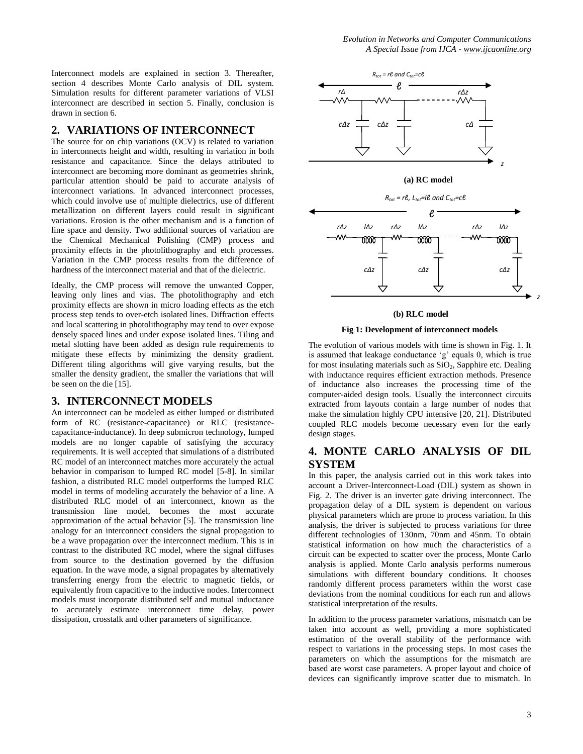Interconnect models are explained in section 3. Thereafter, section 4 describes Monte Carlo analysis of DIL system. Simulation results for different parameter variations of VLSI interconnect are described in section 5. Finally, conclusion is drawn in section 6.

## **2. VARIATIONS OF INTERCONNECT**

The source for on chip variations (OCV) is related to variation in interconnects height and width, resulting in variation in both resistance and capacitance. Since the delays attributed to interconnect are becoming more dominant as geometries shrink, particular attention should be paid to accurate analysis of interconnect variations. In advanced interconnect processes, which could involve use of multiple dielectrics, use of different metallization on different layers could result in significant variations. Erosion is the other mechanism and is a function of line space and density. Two additional sources of variation are the Chemical Mechanical Polishing (CMP) process and proximity effects in the photolithography and etch processes. Variation in the CMP process results from the difference of hardness of the interconnect material and that of the dielectric.

Ideally, the CMP process will remove the unwanted Copper, leaving only lines and vias. The photolithography and etch proximity effects are shown in micro loading effects as the etch process step tends to over-etch isolated lines. Diffraction effects and local scattering in photolithography may tend to over expose densely spaced lines and under expose isolated lines. Tiling and metal slotting have been added as design rule requirements to mitigate these effects by minimizing the density gradient. Different tiling algorithms will give varying results, but the smaller the density gradient, the smaller the variations that will be seen on the die [15].

## **3. INTERCONNECT MODELS**

An interconnect can be modeled as either lumped or distributed form of RC (resistance-capacitance) or RLC (resistancecapacitance-inductance). In deep submicron technology, lumped models are no longer capable of satisfying the accuracy requirements. It is well accepted that simulations of a distributed RC model of an interconnect matches more accurately the actual behavior in comparison to lumped RC model [5-8]. In similar fashion, a distributed RLC model outperforms the lumped RLC model in terms of modeling accurately the behavior of a line. A distributed RLC model of an interconnect, known as the transmission line model, becomes the most accurate approximation of the actual behavior [5]. The transmission line analogy for an interconnect considers the signal propagation to be a wave propagation over the interconnect medium. This is in contrast to the distributed RC model, where the signal diffuses from source to the destination governed by the diffusion equation. In the wave mode, a signal propagates by alternatively transferring energy from the electric to magnetic fields, or equivalently from capacitive to the inductive nodes. Interconnect models must incorporate distributed self and mutual inductance to accurately estimate interconnect time delay, power dissipation, crosstalk and other parameters of significance.



#### **(b) RLC model**

#### **Fig 1: Development of interconnect models**

The evolution of various models with time is shown in Fig. 1. It is assumed that leakage conductance "g" equals 0, which is true for most insulating materials such as  $SiO<sub>2</sub>$ , Sapphire etc. Dealing with inductance requires efficient extraction methods. Presence of inductance also increases the processing time of the computer-aided design tools. Usually the interconnect circuits extracted from layouts contain a large number of nodes that make the simulation highly CPU intensive [20, 21]. Distributed coupled RLC models become necessary even for the early design stages.

## **4. MONTE CARLO ANALYSIS OF DIL SYSTEM**

In this paper, the analysis carried out in this work takes into account a Driver-Interconnect-Load (DIL) system as shown in Fig. 2. The driver is an inverter gate driving interconnect. The propagation delay of a DIL system is dependent on various physical parameters which are prone to process variation. In this analysis, the driver is subjected to process variations for three different technologies of 130nm, 70nm and 45nm. To obtain statistical information on how much the characteristics of a circuit can be expected to scatter over the process, Monte Carlo analysis is applied. Monte Carlo analysis performs numerous simulations with different boundary conditions. It chooses randomly different process parameters within the worst case deviations from the nominal conditions for each run and allows statistical interpretation of the results.

In addition to the process parameter variations, mismatch can be taken into account as well, providing a more sophisticated estimation of the overall stability of the performance with respect to variations in the processing steps. In most cases the parameters on which the assumptions for the mismatch are based are worst case parameters. A proper layout and choice of devices can significantly improve scatter due to mismatch. In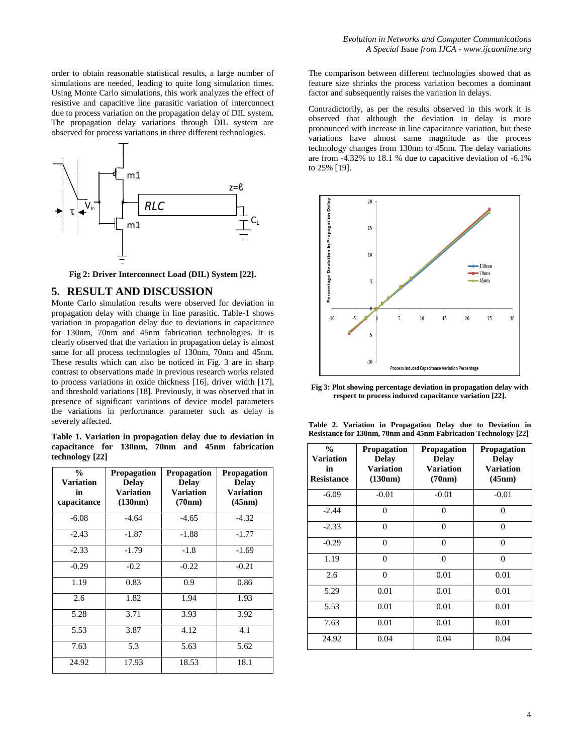order to obtain reasonable statistical results, a large number of simulations are needed, leading to quite long simulation times. Using Monte Carlo simulations, this work analyzes the effect of resistive and capacitive line parasitic variation of interconnect due to process variation on the propagation delay of DIL system. The propagation delay variations through DIL system are observed for process variations in three different technologies.



**Fig 2: Driver Interconnect Load (DIL) System [22].**

## **5. RESULT AND DISCUSSION**

Monte Carlo simulation results were observed for deviation in propagation delay with change in line parasitic. Table-1 shows variation in propagation delay due to deviations in capacitance for 130nm, 70nm and 45nm fabrication technologies. It is clearly observed that the variation in propagation delay is almost same for all process technologies of 130nm, 70nm and 45nm. These results which can also be noticed in Fig. 3 are in sharp contrast to observations made in previous research works related to process variations in oxide thickness [16], driver width [17], and threshold variations [18]. Previously, it was observed that in presence of significant variations of device model parameters the variations in performance parameter such as delay is severely affected.

**Table 1. Variation in propagation delay due to deviation in capacitance for 130nm, 70nm and 45nm fabrication technology [22]**

| $\frac{0}{0}$<br><b>Variation</b><br>in<br>capacitance | Propagation<br><b>Delay</b><br><b>Variation</b><br>(130nm) | <b>Propagation</b><br><b>Delay</b><br>Variation<br>(70nm) | <b>Propagation</b><br><b>Delay</b><br><b>Variation</b><br>(45nm) |
|--------------------------------------------------------|------------------------------------------------------------|-----------------------------------------------------------|------------------------------------------------------------------|
| $-6.08$                                                | $-4.64$                                                    | $-4.65$                                                   | $-4.32$                                                          |
| $-2.43$                                                | $-1.87$                                                    | $-1.88$                                                   | $-1.77$                                                          |
| $-2.33$                                                | $-1.79$                                                    | $-1.8$                                                    | $-1.69$                                                          |
| $-0.29$                                                | $-0.2$                                                     | $-0.22$                                                   | $-0.21$                                                          |
| 1.19                                                   | 0.83                                                       | 0.9                                                       | 0.86                                                             |
| 2.6                                                    | 1.82                                                       | 1.94                                                      | 1.93                                                             |
| 5.28                                                   | 3.71                                                       | 3.93                                                      | 3.92                                                             |
| 5.53                                                   | 3.87                                                       | 4.12                                                      | 4.1                                                              |
| 7.63                                                   | 5.3                                                        | 5.63                                                      | 5.62                                                             |
| 24.92                                                  | 17.93                                                      | 18.53                                                     | 18.1                                                             |

The comparison between different technologies showed that as feature size shrinks the process variation becomes a dominant factor and subsequently raises the variation in delays.

Contradictorily, as per the results observed in this work it is observed that although the deviation in delay is more pronounced with increase in line capacitance variation, but these variations have almost same magnitude as the process technology changes from 130nm to 45nm. The delay variations are from -4.32% to 18.1 % due to capacitive deviation of -6.1% to 25% [19].



**Fig 3: Plot showing percentage deviation in propagation delay with respect to process induced capacitance variation [22].**

| $\frac{0}{0}$<br><b>Variation</b><br>in<br><b>Resistance</b> | <b>Propagation</b><br><b>Delay</b><br><b>Variation</b><br>(130nm) | <b>Propagation</b><br><b>Delay</b><br><b>Variation</b><br>(70nm) | <b>Propagation</b><br><b>Delay</b><br><b>Variation</b><br>(45nm) |
|--------------------------------------------------------------|-------------------------------------------------------------------|------------------------------------------------------------------|------------------------------------------------------------------|
| $-6.09$                                                      | $-0.01$                                                           | $-0.01$                                                          | $-0.01$                                                          |
| $-2.44$                                                      | $\theta$                                                          | $\theta$                                                         | $\theta$                                                         |
| $-2.33$                                                      | $\overline{0}$                                                    | $\theta$                                                         | $\Omega$                                                         |
| $-0.29$                                                      | $\overline{0}$                                                    | $\overline{0}$                                                   | $\Omega$                                                         |
| 1.19                                                         | $\theta$                                                          | $\theta$                                                         | $\Omega$                                                         |
| 2.6                                                          | $\overline{0}$                                                    | 0.01                                                             | 0.01                                                             |
| 5.29                                                         | 0.01                                                              | 0.01                                                             | 0.01                                                             |
| 5.53                                                         | 0.01                                                              | 0.01                                                             | 0.01                                                             |
| 7.63                                                         | 0.01                                                              | 0.01                                                             | 0.01                                                             |
| 24.92                                                        | 0.04                                                              | 0.04                                                             | 0.04                                                             |

**Table 2. Variation in Propagation Delay due to Deviation in Resistance for 130nm, 70nm and 45nm Fabrication Technology [22]**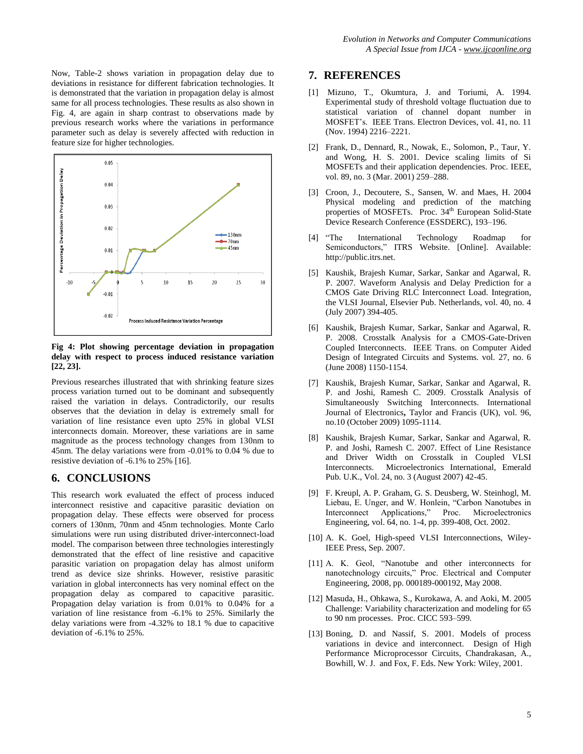Now, Table-2 shows variation in propagation delay due to deviations in resistance for different fabrication technologies. It is demonstrated that the variation in propagation delay is almost same for all process technologies. These results as also shown in Fig. 4, are again in sharp contrast to observations made by previous research works where the variations in performance parameter such as delay is severely affected with reduction in feature size for higher technologies.



**Fig 4: Plot showing percentage deviation in propagation delay with respect to process induced resistance variation [22, 23].**

Previous researches illustrated that with shrinking feature sizes process variation turned out to be dominant and subsequently raised the variation in delays. Contradictorily, our results observes that the deviation in delay is extremely small for variation of line resistance even upto 25% in global VLSI interconnects domain. Moreover, these variations are in same magnitude as the process technology changes from 130nm to 45nm. The delay variations were from -0.01% to 0.04 % due to resistive deviation of -6.1% to 25% [16].

## **6. CONCLUSIONS**

This research work evaluated the effect of process induced interconnect resistive and capacitive parasitic deviation on propagation delay. These effects were observed for process corners of 130nm, 70nm and 45nm technologies. Monte Carlo simulations were run using distributed driver-interconnect-load model. The comparison between three technologies interestingly demonstrated that the effect of line resistive and capacitive parasitic variation on propagation delay has almost uniform trend as device size shrinks. However, resistive parasitic variation in global interconnects has very nominal effect on the propagation delay as compared to capacitive parasitic. Propagation delay variation is from 0.01% to 0.04% for a variation of line resistance from -6.1% to 25%. Similarly the delay variations were from -4.32% to 18.1 % due to capacitive deviation of -6.1% to 25%.

## **7. REFERENCES**

- [1] Mizuno, T., Okumtura, J. and Toriumi, A. 1994. Experimental study of threshold voltage fluctuation due to statistical variation of channel dopant number in MOSFET"s. IEEE Trans. Electron Devices, vol. 41, no. 11 (Nov. 1994) 2216–2221.
- [2] Frank, D., Dennard, R., Nowak, E., Solomon, P., Taur, Y. and Wong, H. S. 2001. Device scaling limits of Si MOSFETs and their application dependencies. Proc. IEEE, vol. 89, no. 3 (Mar. 2001) 259–288.
- [3] Croon, J., Decoutere, S., Sansen, W. and Maes, H. 2004 Physical modeling and prediction of the matching properties of MOSFETs. Proc. 34<sup>th</sup> European Solid-State Device Research Conference (ESSDERC), 193–196.
- [4] "The International Technology Roadmap for Semiconductors," ITRS Website. [Online]. Available: http://public.itrs.net.
- [5] Kaushik, Brajesh Kumar, Sarkar, Sankar and Agarwal, R. P. 2007. Waveform Analysis and Delay Prediction for a CMOS Gate Driving RLC Interconnect Load. Integration, the VLSI Journal, Elsevier Pub. Netherlands, vol. 40, no. 4 (July 2007) 394-405.
- [6] Kaushik, Brajesh Kumar, Sarkar, Sankar and Agarwal, R. P. 2008. Crosstalk Analysis for a CMOS-Gate-Driven Coupled Interconnects. IEEE Trans. on Computer Aided Design of Integrated Circuits and Systems. vol. 27, no. 6 (June 2008) 1150-1154.
- [7] Kaushik, Brajesh Kumar, Sarkar, Sankar and Agarwal, R. P. and Joshi, Ramesh C. 2009. Crosstalk Analysis of Simultaneously Switching Interconnects. International Journal of Electronics**,** Taylor and Francis (UK), vol. 96, no.10 (October 2009) 1095-1114.
- [8] Kaushik, Brajesh Kumar, Sarkar, Sankar and Agarwal, R. P. and Joshi, Ramesh C. 2007. Effect of Line Resistance and Driver Width on Crosstalk in Coupled VLSI Interconnects. Microelectronics International, Emerald Pub. U.K., Vol. 24, no. 3 (August 2007) 42-45.
- [9] F. Kreupl, A. P. Graham, G. S. Deusberg, W. Steinhogl, M. Liebau, E. Unger, and W. Honlein, "Carbon Nanotubes in Interconnect Applications," Proc. Microelectronics Engineering, vol. 64, no. 1-4, pp. 399-408, Oct. 2002.
- [10] A. K. Goel, High-speed VLSI Interconnections, Wiley-IEEE Press, Sep. 2007.
- [11] A. K. Geol, "Nanotube and other interconnects for nanotechnology circuits," Proc. Electrical and Computer Engineering, 2008, pp. 000189-000192, May 2008.
- [12] Masuda, H., Ohkawa, S., Kurokawa, A. and Aoki, M. 2005 Challenge: Variability characterization and modeling for 65 to 90 nm processes. Proc. CICC 593–599.
- [13] Boning, D. and Nassif, S. 2001. Models of process variations in device and interconnect. Design of High Performance Microprocessor Circuits, Chandrakasan, A., Bowhill, W. J. and Fox, F. Eds. New York: Wiley, 2001.